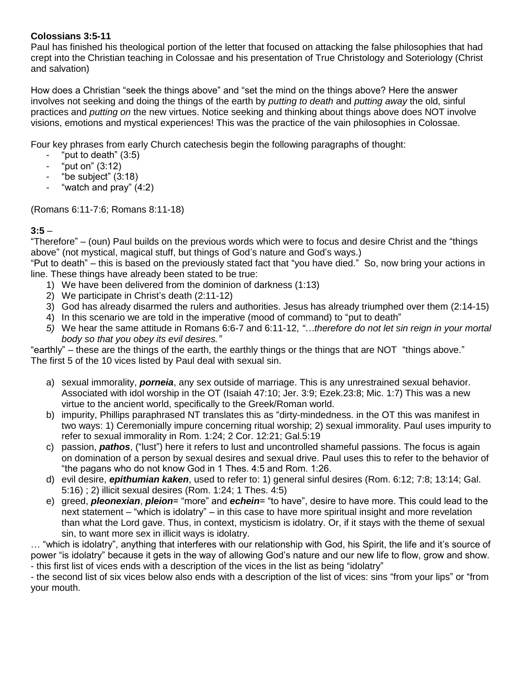#### **Colossians 3:5-11**

Paul has finished his theological portion of the letter that focused on attacking the false philosophies that had crept into the Christian teaching in Colossae and his presentation of True Christology and Soteriology (Christ and salvation)

How does a Christian "seek the things above" and "set the mind on the things above? Here the answer involves not seeking and doing the things of the earth by *putting to death* and *putting away* the old, sinful practices and *putting on* the new virtues. Notice seeking and thinking about things above does NOT involve visions, emotions and mystical experiences! This was the practice of the vain philosophies in Colossae.

Four key phrases from early Church catechesis begin the following paragraphs of thought:

- "put to death"  $(3:5)$
- "put on" (3:12)
- "be subject" (3:18)
- "watch and pray"  $(4:2)$

(Romans 6:11-7:6; Romans 8:11-18)

#### **3:5** –

"Therefore" – (oun) Paul builds on the previous words which were to focus and desire Christ and the "things above" (not mystical, magical stuff, but things of God's nature and God's ways.)

"Put to death" – this is based on the previously stated fact that "you have died." So, now bring your actions in line. These things have already been stated to be true:

- 1) We have been delivered from the dominion of darkness (1:13)
- 2) We participate in Christ's death (2:11-12)
- 3) God has already disarmed the rulers and authorities. Jesus has already triumphed over them (2:14-15)
- 4) In this scenario we are told in the imperative (mood of command) to "put to death"
- *5)* We hear the same attitude in Romans 6:6-7 and 6:11-12, *"…therefore do not let sin reign in your mortal body so that you obey its evil desires."*

"earthly" – these are the things of the earth, the earthly things or the things that are NOT "things above." The first 5 of the 10 vices listed by Paul deal with sexual sin.

- a) sexual immorality, *porneia*, any sex outside of marriage. This is any unrestrained sexual behavior. Associated with idol worship in the OT (Isaiah 47:10; Jer. 3:9; Ezek.23:8; Mic. 1:7) This was a new virtue to the ancient world, specifically to the Greek/Roman world.
- b) impurity, Phillips paraphrased NT translates this as "dirty-mindedness. in the OT this was manifest in two ways: 1) Ceremonially impure concerning ritual worship; 2) sexual immorality. Paul uses impurity to refer to sexual immorality in Rom. 1:24; 2 Cor. 12:21; Gal.5:19
- c) passion, *pathos*, ("lust") here it refers to lust and uncontrolled shameful passions. The focus is again on domination of a person by sexual desires and sexual drive. Paul uses this to refer to the behavior of "the pagans who do not know God in 1 Thes. 4:5 and Rom. 1:26.
- d) evil desire, *epithumian kaken*, used to refer to: 1) general sinful desires (Rom. 6:12; 7:8; 13:14; Gal. 5:16) ; 2) illicit sexual desires (Rom. 1:24; 1 Thes. 4:5)
- e) greed, *pleonexian*, *pleion*= "more" and *echein*= "to have", desire to have more. This could lead to the next statement – "which is idolatry" – in this case to have more spiritual insight and more revelation than what the Lord gave. Thus, in context, mysticism is idolatry. Or, if it stays with the theme of sexual sin, to want more sex in illicit ways is idolatry.

… "which is idolatry", anything that interferes with our relationship with God, his Spirit, the life and it's source of power "is idolatry" because it gets in the way of allowing God's nature and our new life to flow, grow and show. - this first list of vices ends with a description of the vices in the list as being "idolatry"

- the second list of six vices below also ends with a description of the list of vices: sins "from your lips" or "from your mouth.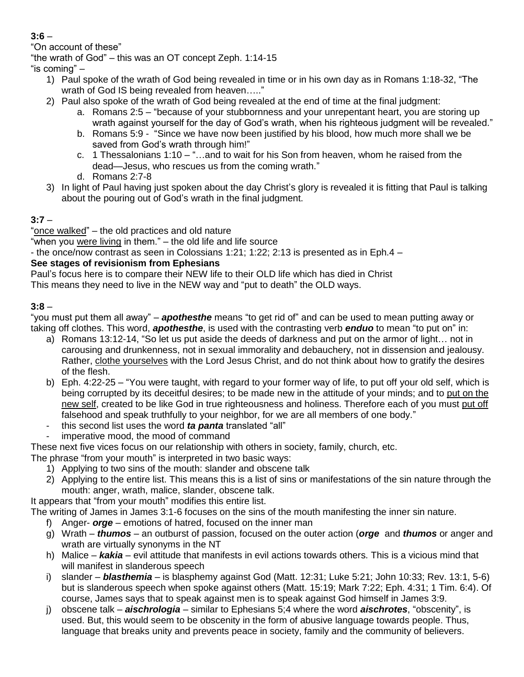#### **3:6** –

"On account of these"

"the wrath of God" – this was an OT concept Zeph. 1:14-15

"is coming" –

- 1) Paul spoke of the wrath of God being revealed in time or in his own day as in Romans 1:18-32, "The wrath of God IS being revealed from heaven….."
- 2) Paul also spoke of the wrath of God being revealed at the end of time at the final judgment:
	- a. Romans 2:5 "because of your stubbornness and your unrepentant heart, you are storing up wrath against yourself for the day of God's wrath, when his righteous judgment will be revealed."
	- b. Romans 5:9 "Since we have now been justified by his blood, how much more shall we be saved from God's wrath through him!"
	- c. 1 Thessalonians 1:10 "…and to wait for his Son from heaven, whom he raised from the dead—Jesus, who rescues us from the coming wrath."
	- d. Romans 2:7-8
- 3) In light of Paul having just spoken about the day Christ's glory is revealed it is fitting that Paul is talking about the pouring out of God's wrath in the final judgment.

# **3:7** –

"once walked" – the old practices and old nature

"when you were living in them." – the old life and life source

- the once/now contrast as seen in Colossians 1:21; 1:22; 2:13 is presented as in Eph.4 –

# **See stages of revisionism from Ephesians**

Paul's focus here is to compare their NEW life to their OLD life which has died in Christ

This means they need to live in the NEW way and "put to death" the OLD ways.

# **3:8** –

"you must put them all away" – *apothesthe* means "to get rid of" and can be used to mean putting away or taking off clothes. This word, *apothesthe*, is used with the contrasting verb *enduo* to mean "to put on" in:

- a) Romans 13:12-14, "So let us put aside the deeds of darkness and put on the armor of light… not in carousing and drunkenness, not in sexual immorality and debauchery, not in dissension and jealousy. Rather, clothe yourselves with the Lord Jesus Christ, and do not think about how to gratify the desires of the flesh.
- b) Eph. 4:22-25 "You were taught, with regard to your former way of life, to put off your old self, which is being corrupted by its deceitful desires; to be made new in the attitude of your minds; and to put on the new self, created to be like God in true righteousness and holiness. Therefore each of you must put off falsehood and speak truthfully to your neighbor, for we are all members of one body."
- this second list uses the word *ta panta* translated "all"
- imperative mood, the mood of command

These next five vices focus on our relationship with others in society, family, church, etc.

The phrase "from your mouth" is interpreted in two basic ways:

- 1) Applying to two sins of the mouth: slander and obscene talk
- 2) Applying to the entire list. This means this is a list of sins or manifestations of the sin nature through the mouth: anger, wrath, malice, slander, obscene talk.

It appears that "from your mouth" modifies this entire list.

The writing of James in James 3:1-6 focuses on the sins of the mouth manifesting the inner sin nature.

- f) Anger- *orge* emotions of hatred, focused on the inner man
- g) Wrath *thumos* an outburst of passion, focused on the outer action (*orge* and *thumos* or anger and wrath are virtually synonyms in the NT
- h) Malice *kakia* evil attitude that manifests in evil actions towards others. This is a vicious mind that will manifest in slanderous speech
- i) slander *blasthemia* is blasphemy against God (Matt. 12:31; Luke 5:21; John 10:33; Rev. 13:1, 5-6) but is slanderous speech when spoke against others (Matt. 15:19; Mark 7:22; Eph. 4:31; 1 Tim. 6:4). Of course, James says that to speak against men is to speak against God himself in James 3:9.
- j) obscene talk *aischrologia* similar to Ephesians 5;4 where the word *aischrotes*, "obscenity", is used. But, this would seem to be obscenity in the form of abusive language towards people. Thus, language that breaks unity and prevents peace in society, family and the community of believers.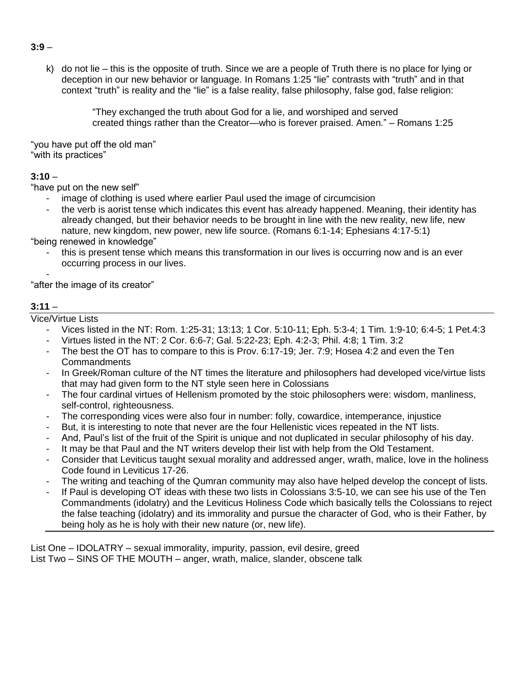k) do not lie – this is the opposite of truth. Since we are a people of Truth there is no place for lying or deception in our new behavior or language. In Romans 1:25 "lie" contrasts with "truth" and in that context "truth" is reality and the "lie" is a false reality, false philosophy, false god, false religion:

> "They exchanged the truth about God for a lie, and worshiped and served created things rather than the Creator—who is forever praised. Amen." – Romans 1:25

"you have put off the old man" "with its practices"

#### **3:10** –

"have put on the new self"

- image of clothing is used where earlier Paul used the image of circumcision
- the verb is aorist tense which indicates this event has already happened. Meaning, their identity has already changed, but their behavior needs to be brought in line with the new reality, new life, new nature, new kingdom, new power, new life source. (Romans 6:1-14; Ephesians 4:17-5:1)

"being renewed in knowledge"

this is present tense which means this transformation in our lives is occurring now and is an ever occurring process in our lives.

- "after the image of its creator"

#### **3:11** –

Vice/Virtue Lists

- Vices listed in the NT: Rom. 1:25-31; 13:13; 1 Cor. 5:10-11; Eph. 5:3-4; 1 Tim. 1:9-10; 6:4-5; 1 Pet.4:3
- Virtues listed in the NT: 2 Cor. 6:6-7; Gal. 5:22-23; Eph. 4:2-3; Phil. 4:8; 1 Tim. 3:2
- The best the OT has to compare to this is Prov. 6:17-19; Jer. 7:9; Hosea 4:2 and even the Ten **Commandments**
- In Greek/Roman culture of the NT times the literature and philosophers had developed vice/virtue lists that may had given form to the NT style seen here in Colossians
- The four cardinal virtues of Hellenism promoted by the stoic philosophers were: wisdom, manliness, self-control, righteousness.
- The corresponding vices were also four in number: folly, cowardice, intemperance, injustice
- But, it is interesting to note that never are the four Hellenistic vices repeated in the NT lists.
- And, Paul's list of the fruit of the Spirit is unique and not duplicated in secular philosophy of his day.
- It may be that Paul and the NT writers develop their list with help from the Old Testament.
- Consider that Leviticus taught sexual morality and addressed anger, wrath, malice, love in the holiness Code found in Leviticus 17-26.
- The writing and teaching of the Qumran community may also have helped develop the concept of lists.
- If Paul is developing OT ideas with these two lists in Colossians 3:5-10, we can see his use of the Ten Commandments (idolatry) and the Leviticus Holiness Code which basically tells the Colossians to reject the false teaching (idolatry) and its immorality and pursue the character of God, who is their Father, by being holy as he is holy with their new nature (or, new life).

List One – IDOLATRY – sexual immorality, impurity, passion, evil desire, greed List Two – SINS OF THE MOUTH – anger, wrath, malice, slander, obscene talk

#### **3:9** –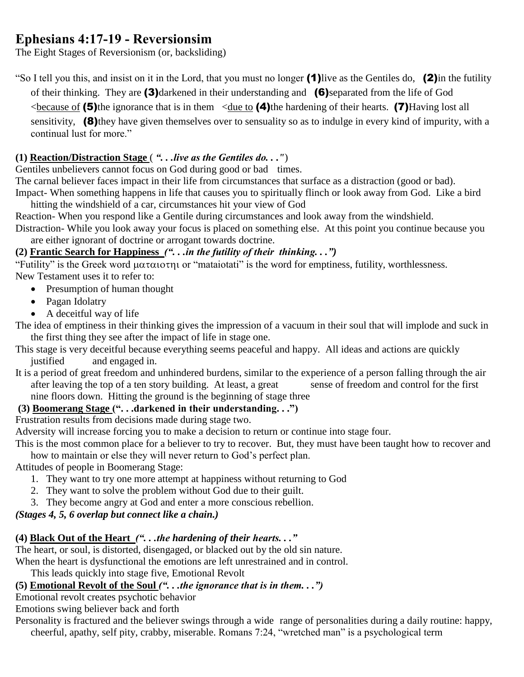# **Ephesians 4:17-19 - Reversionsim**

The Eight Stages of Reversionism (or, backsliding)

"So I tell you this, and insist on it in the Lord, that you must no longer (1)live as the Gentiles do, (2)in the futility of their thinking. They are (3)darkened in their understanding and (6)separated from the life of God

 $\leq$ because of (5)the ignorance that is in them  $\leq$ due to (4)the hardening of their hearts. (7)Having lost all

sensitivity, (8) they have given themselves over to sensuality so as to indulge in every kind of impurity, with a continual lust for more."

## **(1) Reaction/Distraction Stage** ( *". . .live as the Gentiles do. . ."*)

Gentiles unbelievers cannot focus on God during good or bad times.

The carnal believer faces impact in their life from circumstances that surface as a distraction (good or bad).

Impact- When something happens in life that causes you to spiritually flinch or look away from God. Like a bird hitting the windshield of a car, circumstances hit your view of God

Reaction- When you respond like a Gentile during circumstances and look away from the windshield.

Distraction- While you look away your focus is placed on something else. At this point you continue because you are either ignorant of doctrine or arrogant towards doctrine.

# **(2) Frantic Search for Happiness** *(". . .in the futility of their thinking. . .")*

"Futility" is the Greek word  $\mu\alpha\tau\alpha\iota\sigma\eta\iota$  or "mataiotati" is the word for emptiness, futility, worthlessness. New Testament uses it to refer to:

- Presumption of human thought
- Pagan Idolatry
- A deceitful way of life

The idea of emptiness in their thinking gives the impression of a vacuum in their soul that will implode and suck in the first thing they see after the impact of life in stage one.

- This stage is very deceitful because everything seems peaceful and happy. All ideas and actions are quickly justified and engaged in.
- It is a period of great freedom and unhindered burdens, similar to the experience of a person falling through the air after leaving the top of a ten story building. At least, a great sense of freedom and control for the first nine floors down. Hitting the ground is the beginning of stage three

## **(3) Boomerang Stage (". . .darkened in their understanding. . .")**

Frustration results from decisions made during stage two.

Adversity will increase forcing you to make a decision to return or continue into stage four.

This is the most common place for a believer to try to recover. But, they must have been taught how to recover and how to maintain or else they will never return to God's perfect plan.

Attitudes of people in Boomerang Stage:

- 1. They want to try one more attempt at happiness without returning to God
- 2. They want to solve the problem without God due to their guilt.
- 3. They become angry at God and enter a more conscious rebellion.

## *(Stages 4, 5, 6 overlap but connect like a chain.)*

# **(4) Black Out of the Heart** *(". . .the hardening of their hearts. . ."*

The heart, or soul, is distorted, disengaged, or blacked out by the old sin nature.

When the heart is dysfunctional the emotions are left unrestrained and in control.

This leads quickly into stage five, Emotional Revolt

# **(5) Emotional Revolt of the Soul** *(". . .the ignorance that is in them. . .")*

Emotional revolt creates psychotic behavior

Emotions swing believer back and forth

Personality is fractured and the believer swings through a wide range of personalities during a daily routine: happy, cheerful, apathy, self pity, crabby, miserable. Romans 7:24, "wretched man" is a psychological term